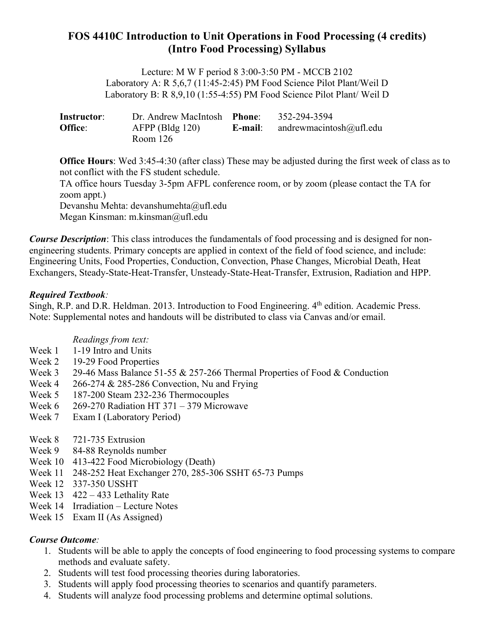# **FOS 4410C Introduction to Unit Operations in Food Processing (4 credits) (Intro Food Processing) Syllabus**

Lecture: M W F period 8 3:00-3:50 PM - MCCB 2102 Laboratory A: R 5,6,7 (11:45-2:45) PM Food Science Pilot Plant/Weil D Laboratory B: R 8,9,10 (1:55-4:55) PM Food Science Pilot Plant/ Weil D

| Instructor: | Dr. Andrew MacIntosh Phone: | 352-294-3594                                    |
|-------------|-----------------------------|-------------------------------------------------|
| Office:     | $AFPP$ (Bldg 120)           | <b>E-mail:</b> andrewmacintosh $\omega$ ufl.edu |
|             | Room 126                    |                                                 |

**Office Hours**: Wed 3:45-4:30 (after class) These may be adjusted during the first week of class as to not conflict with the FS student schedule.

TA office hours Tuesday 3-5pm AFPL conference room, or by zoom (please contact the TA for zoom appt.)

Devanshu Mehta: devanshumehta@ufl.edu Megan Kinsman: m.kinsman@ufl.edu

*Course Description*: This class introduces the fundamentals of food processing and is designed for nonengineering students. Primary concepts are applied in context of the field of food science, and include: Engineering Units, Food Properties, Conduction, Convection, Phase Changes, Microbial Death, Heat Exchangers, Steady-State-Heat-Transfer, Unsteady-State-Heat-Transfer, Extrusion, Radiation and HPP.

## *Required Textbook:*

Singh, R.P. and D.R. Heldman. 2013. Introduction to Food Engineering. 4<sup>th</sup> edition. Academic Press. Note: Supplemental notes and handouts will be distributed to class via Canvas and/or email.

## *Readings from text:*

- Week 1 1-19 Intro and Units
- Week 2 19-29 Food Properties
- Week 3 29-46 Mass Balance 51-55 & 257-266 Thermal Properties of Food & Conduction
- Week 4 266-274 & 285-286 Convection, Nu and Frying
- Week 5 187-200 Steam 232-236 Thermocouples
- Week 6 269-270 Radiation HT 371 379 Microwave
- Week 7 Exam I (Laboratory Period)
- Week 8 721-735 Extrusion
- Week 9 84-88 Reynolds number
- Week 10 413-422 Food Microbiology (Death)
- Week 11 248-252 Heat Exchanger 270, 285-306 SSHT 65-73 Pumps
- Week 12 337-350 USSHT
- Week 13 422 433 Lethality Rate
- Week 14 Irradiation Lecture Notes
- Week 15 Exam II (As Assigned)

## *Course Outcome:*

- 1. Students will be able to apply the concepts of food engineering to food processing systems to compare methods and evaluate safety.
- 2. Students will test food processing theories during laboratories.
- 3. Students will apply food processing theories to scenarios and quantify parameters.
- 4. Students will analyze food processing problems and determine optimal solutions.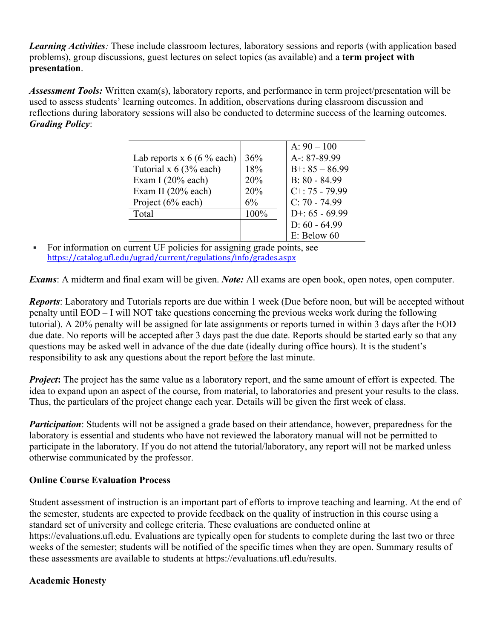*Learning Activities:* These include classroom lectures, laboratory sessions and reports (with application based problems), group discussions, guest lectures on select topics (as available) and a **term project with presentation**.

*Assessment Tools:* Written exam(s), laboratory reports, and performance in term project/presentation will be used to assess students' learning outcomes. In addition, observations during classroom discussion and reflections during laboratory sessions will also be conducted to determine success of the learning outcomes. *Grading Policy*:

|                              |       | $A: 90 - 100$        |
|------------------------------|-------|----------------------|
| Lab reports $x 6 (6 % each)$ | 36%   | A-: 87-89.99         |
| Tutorial x $6(3%$ each)      | 18%   | $B^{+}$ : 85 - 86.99 |
| Exam I (20% each)            | 20%   | $B: 80 - 84.99$      |
| Exam II $(20\%$ each)        | 20%   | $C+$ : 75 - 79.99    |
| Project (6% each)            | $6\%$ | $C: 70 - 74.99$      |
| Total                        | 100%  | D+: $65 - 69.99$     |
|                              |       | D: $60 - 64.99$      |
|                              |       | E: Below 60          |

For information on current UF policies for assigning grade points, see https://catalog.ufl.edu/ugrad/current/regulations/info/grades.aspx

*Exams*: A midterm and final exam will be given. *Note:* All exams are open book, open notes, open computer.

*Reports*: Laboratory and Tutorials reports are due within 1 week (Due before noon, but will be accepted without penalty until EOD – I will NOT take questions concerning the previous weeks work during the following tutorial). A 20% penalty will be assigned for late assignments or reports turned in within 3 days after the EOD due date. No reports will be accepted after 3 days past the due date. Reports should be started early so that any questions may be asked well in advance of the due date (ideally during office hours). It is the student's responsibility to ask any questions about the report before the last minute.

*Project*: The project has the same value as a laboratory report, and the same amount of effort is expected. The idea to expand upon an aspect of the course, from material, to laboratories and present your results to the class. Thus, the particulars of the project change each year. Details will be given the first week of class.

*Participation*: Students will not be assigned a grade based on their attendance, however, preparedness for the laboratory is essential and students who have not reviewed the laboratory manual will not be permitted to participate in the laboratory. If you do not attend the tutorial/laboratory, any report will not be marked unless otherwise communicated by the professor.

## **Online Course Evaluation Process**

Student assessment of instruction is an important part of efforts to improve teaching and learning. At the end of the semester, students are expected to provide feedback on the quality of instruction in this course using a standard set of university and college criteria. These evaluations are conducted online at https://evaluations.ufl.edu. Evaluations are typically open for students to complete during the last two or three weeks of the semester; students will be notified of the specific times when they are open. Summary results of these assessments are available to students at https://evaluations.ufl.edu/results.

## **Academic Honesty**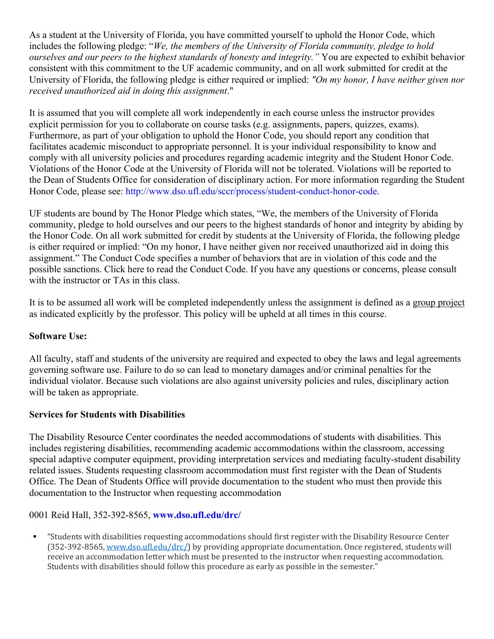As a student at the University of Florida, you have committed yourself to uphold the Honor Code, which includes the following pledge: "*We, the members of the University of Florida community, pledge to hold ourselves and our peers to the highest standards of honesty and integrity."* You are expected to exhibit behavior consistent with this commitment to the UF academic community, and on all work submitted for credit at the University of Florida, the following pledge is either required or implied: *"On my honor, I have neither given nor received unauthorized aid in doing this assignment*."

It is assumed that you will complete all work independently in each course unless the instructor provides explicit permission for you to collaborate on course tasks (e.g. assignments, papers, quizzes, exams). Furthermore, as part of your obligation to uphold the Honor Code, you should report any condition that facilitates academic misconduct to appropriate personnel. It is your individual responsibility to know and comply with all university policies and procedures regarding academic integrity and the Student Honor Code. Violations of the Honor Code at the University of Florida will not be tolerated. Violations will be reported to the Dean of Students Office for consideration of disciplinary action. For more information regarding the Student Honor Code, please see: http://www.dso.ufl.edu/sccr/process/student-conduct-honor-code.

UF students are bound by The Honor Pledge which states, "We, the members of the University of Florida community, pledge to hold ourselves and our peers to the highest standards of honor and integrity by abiding by the Honor Code. On all work submitted for credit by students at the University of Florida, the following pledge is either required or implied: "On my honor, I have neither given nor received unauthorized aid in doing this assignment." The Conduct Code specifies a number of behaviors that are in violation of this code and the possible sanctions. Click here to read the Conduct Code. If you have any questions or concerns, please consult with the instructor or TAs in this class.

It is to be assumed all work will be completed independently unless the assignment is defined as a group project as indicated explicitly by the professor. This policy will be upheld at all times in this course.

## **Software Use:**

All faculty, staff and students of the university are required and expected to obey the laws and legal agreements governing software use. Failure to do so can lead to monetary damages and/or criminal penalties for the individual violator. Because such violations are also against university policies and rules, disciplinary action will be taken as appropriate.

## **Services for Students with Disabilities**

The Disability Resource Center coordinates the needed accommodations of students with disabilities. This includes registering disabilities, recommending academic accommodations within the classroom, accessing special adaptive computer equipment, providing interpretation services and mediating faculty-student disability related issues. Students requesting classroom accommodation must first register with the Dean of Students Office. The Dean of Students Office will provide documentation to the student who must then provide this documentation to the Instructor when requesting accommodation

## 0001 Reid Hall, 352-392-8565, **www.dso.ufl.edu/drc/**

§ "Students with disabilities requesting accommodations should first register with the Disability Resource Center  $(352-392-8565,$  www.dso.ufl.edu/drc/) by providing appropriate documentation. Once registered, students will receive an accommodation letter which must be presented to the instructor when requesting accommodation. Students with disabilities should follow this procedure as early as possible in the semester."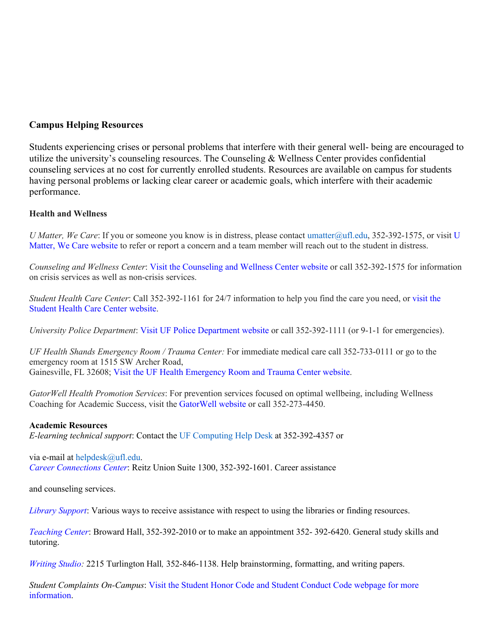### **Campus Helping Resources**

Students experiencing crises or personal problems that interfere with their general well- being are encouraged to utilize the university's counseling resources. The Counseling  $\&$  Wellness Center provides confidential counseling services at no cost for currently enrolled students. Resources are available on campus for students having personal problems or lacking clear career or academic goals, which interfere with their academic performance.

#### **Health and Wellness**

*U Matter, We Care*: If you or someone you know is in distress, please contact umatter@ufl.edu, 352-392-1575, or visit U Matter, We Care website to refer or report a concern and a team member will reach out to the student in distress.

*Counseling and Wellness Center*: Visit the Counseling and Wellness Center website or call 352-392-1575 for information on crisis services as well as non-crisis services.

*Student Health Care Center*: Call 352-392-1161 for 24/7 information to help you find the care you need, or visit the Student Health Care Center website.

*University Police Department*: Visit UF Police Department website or call 352-392-1111 (or 9-1-1 for emergencies).

*UF Health Shands Emergency Room / Trauma Center:* For immediate medical care call 352-733-0111 or go to the emergency room at 1515 SW Archer Road, Gainesville, FL 32608; Visit the UF Health Emergency Room and Trauma Center website.

*GatorWell Health Promotion Services*: For prevention services focused on optimal wellbeing, including Wellness Coaching for Academic Success, visit the GatorWell website or call 352-273-4450.

#### **Academic Resources**

*E-learning technical support*: Contact the UF Computing Help Desk at 352-392-4357 or

via e-mail at helpdesk@ufl.edu. *Career Connections Center*: Reitz Union Suite 1300, 352-392-1601. Career assistance

and counseling services.

*Library Support*: Various ways to receive assistance with respect to using the libraries or finding resources.

*Teaching Center*: Broward Hall, 352-392-2010 or to make an appointment 352- 392-6420. General study skills and tutoring.

*Writing Studio:* 2215 Turlington Hall*,* 352-846-1138. Help brainstorming, formatting, and writing papers.

*Student Complaints On-Campus*: Visit the Student Honor Code and Student Conduct Code webpage for more information.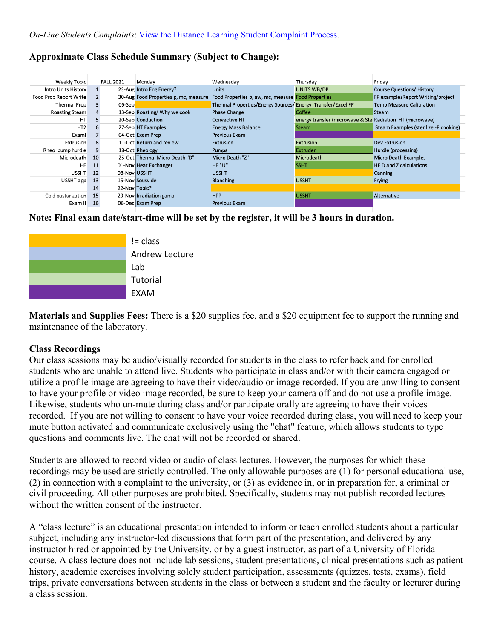### **Approximate Class Schedule Summary (Subject to Change):**

| <b>Weekly Topic</b>           |    | <b>FALL 2021</b> | Monday                                | Wednesday                                                  | Thursday                                                  | Friday                                |
|-------------------------------|----|------------------|---------------------------------------|------------------------------------------------------------|-----------------------------------------------------------|---------------------------------------|
| Intro Units History           |    |                  | 23-Aug Intro Eng Energy?              | <b>Units</b>                                               | UNITS WB/DB                                               | <b>Course Questions/ History</b>      |
| <b>Food Prop Report Write</b> |    |                  | 30-Aug Food Properties p, mc, measure | Food Properties p, aw, mc, measure Food Properties         |                                                           | FP examplesReport Writing/project     |
| <b>Thermal Prop</b>           |    | $06-Sep$         |                                       | Thermal Properties/Energy Sources/Energy Transfer/Excel FP |                                                           | <b>Temp Measure Calibration</b>       |
| Roasting Steam                |    |                  | 13-Sep Roasting/ Why we cook          | Phase Change                                               | Coffee                                                    | Steam                                 |
| HT                            |    |                  | 20-Sep Conduction                     | Convective HT                                              | energy transfer (microwave & Ste Radiation HT (microwave) |                                       |
| HT <sub>2</sub>               |    |                  | 27-Sep HT Examples                    | <b>Energy Mass Balance</b>                                 | <b>Steam</b>                                              | Steam Examples (sterilize -P cooking) |
| Examl                         |    |                  | 04-Oct Exam Prep                      | <b>Previous Exam</b>                                       |                                                           |                                       |
| <b>Extrusion</b>              |    |                  | 11-Oct Return and review              | Extrusion                                                  | Extrusion                                                 | Dev Extrusion                         |
| Rheo pump hurdle              |    |                  | 18-Oct Rheology                       | <b>Pumps</b>                                               | Extruder                                                  | Hurdle (processing)                   |
| Microdeath                    | 10 |                  | 25-Oct Thermal Micro Death "D"        | Micro Death "Z"                                            | Microdeath                                                | <b>Micro Death Examples</b>           |
| <b>HE</b>                     | 11 |                  | 01-Nov Heat Exchanger                 | <b>HE "U"</b>                                              | <b>SSHT</b>                                               | HE D and Z calculations               |
| <b>USSHT</b>                  | 12 |                  | 08-Nov USSHT                          | <b>USSHT</b>                                               |                                                           | Canning                               |
| USSHT app                     | 13 |                  | 15-Nov Sousvide                       | <b>Blanching</b>                                           | <b>USSHT</b>                                              | <b>Frying</b>                         |
|                               | 14 |                  | 22-Nov Topic?                         |                                                            |                                                           |                                       |
| Cold pasturization            | 15 |                  | 29-Nov Irradiation gama               | <b>HPP</b>                                                 | <b>USSHT</b>                                              | Alternative                           |
| Exam II                       | 16 |                  | 06-Dec Exam Prep                      | <b>Previous Exam</b>                                       |                                                           |                                       |
|                               |    |                  |                                       |                                                            |                                                           |                                       |

**Note: Final exam date/start-time will be set by the register, it will be 3 hours in duration.**



**Materials and Supplies Fees:** There is a \$20 supplies fee, and a \$20 equipment fee to support the running and maintenance of the laboratory.

### **Class Recordings**

Our class sessions may be audio/visually recorded for students in the class to refer back and for enrolled students who are unable to attend live. Students who participate in class and/or with their camera engaged or utilize a profile image are agreeing to have their video/audio or image recorded. If you are unwilling to consent to have your profile or video image recorded, be sure to keep your camera off and do not use a profile image. Likewise, students who un-mute during class and/or participate orally are agreeing to have their voices recorded. If you are not willing to consent to have your voice recorded during class, you will need to keep your mute button activated and communicate exclusively using the "chat" feature, which allows students to type questions and comments live. The chat will not be recorded or shared.

Students are allowed to record video or audio of class lectures. However, the purposes for which these recordings may be used are strictly controlled. The only allowable purposes are (1) for personal educational use, (2) in connection with a complaint to the university, or (3) as evidence in, or in preparation for, a criminal or civil proceeding. All other purposes are prohibited. Specifically, students may not publish recorded lectures without the written consent of the instructor.

A "class lecture" is an educational presentation intended to inform or teach enrolled students about a particular subject, including any instructor-led discussions that form part of the presentation, and delivered by any instructor hired or appointed by the University, or by a guest instructor, as part of a University of Florida course. A class lecture does not include lab sessions, student presentations, clinical presentations such as patient history, academic exercises involving solely student participation, assessments (quizzes, tests, exams), field trips, private conversations between students in the class or between a student and the faculty or lecturer during a class session.